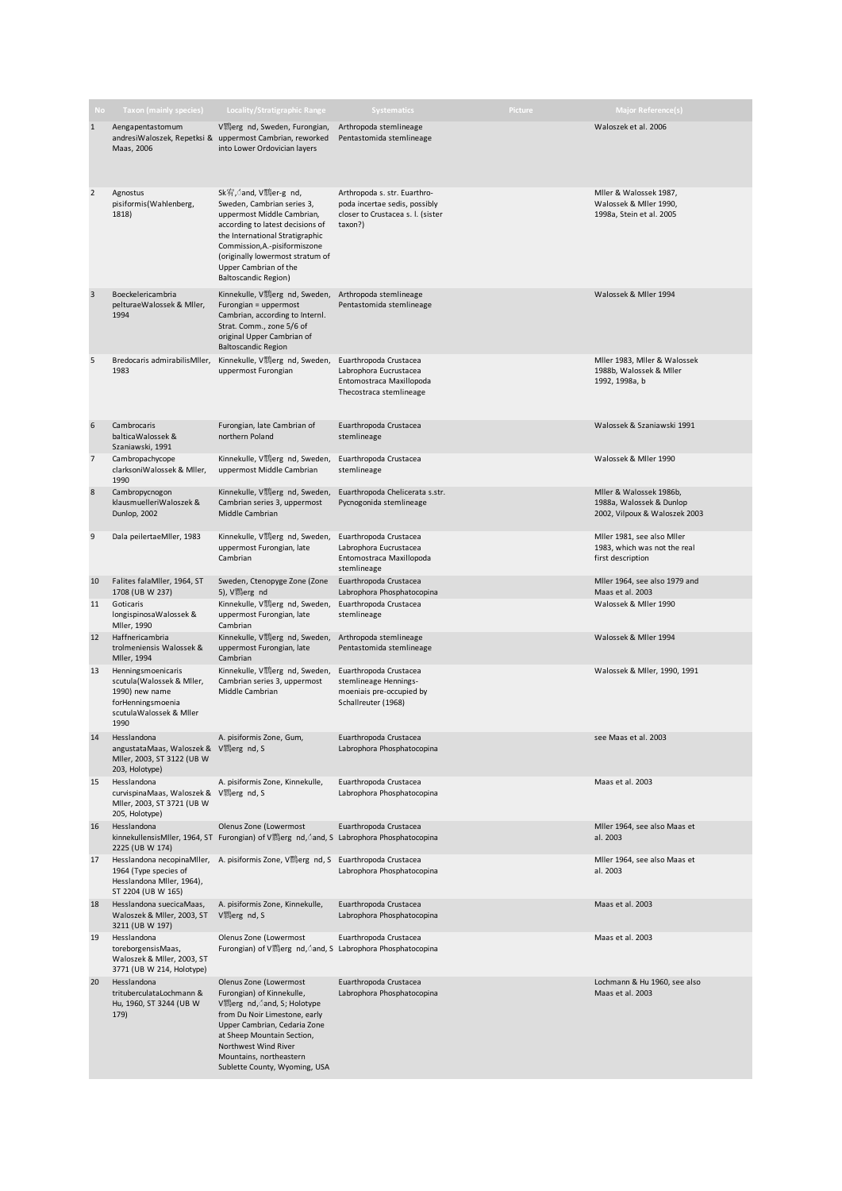| No             | <b>Taxon (mainly species)</b>                                                                                             | <b>Locality/Stratigraphic Range</b>                                                                                                                                                                                                                                                  | <b>Systematics</b>                                                                                            | Picture | <b>Major Reference(s)</b>                                                            |
|----------------|---------------------------------------------------------------------------------------------------------------------------|--------------------------------------------------------------------------------------------------------------------------------------------------------------------------------------------------------------------------------------------------------------------------------------|---------------------------------------------------------------------------------------------------------------|---------|--------------------------------------------------------------------------------------|
| $\mathbf{1}$   | Aengapentastomum<br>andresiWaloszek, Repetksi &<br>Maas, 2006                                                             | V鹅erg nd, Sweden, Furongian,<br>uppermost Cambrian, reworked<br>into Lower Ordovician layers                                                                                                                                                                                         | Arthropoda stemlineage<br>Pentastomida stemlineage                                                            |         | Waloszek et al. 2006                                                                 |
| $\mathbf 2$    | Agnostus<br>pisiformis(Wahlenberg,<br>1818)                                                                               | Sk宥, and, V顆er-g nd,<br>Sweden, Cambrian series 3,<br>uppermost Middle Cambrian,<br>according to latest decisions of<br>the International Stratigraphic<br>Commission, A.-pisiformiszone<br>(originally lowermost stratum of<br>Upper Cambrian of the<br><b>Baltoscandic Region)</b> | Arthropoda s. str. Euarthro-<br>poda incertae sedis, possibly<br>closer to Crustacea s. I. (sister<br>taxon?) |         | Mller & Walossek 1987,<br>Walossek & Mller 1990,<br>1998a, Stein et al. 2005         |
| $\overline{3}$ | Boeckelericambria<br>pelturaeWalossek & Miler,<br>1994                                                                    | Kinnekulle, V顆erg nd, Sweden,<br>Furongian = uppermost<br>Cambrian, according to Internl.<br>Strat. Comm., zone 5/6 of<br>original Upper Cambrian of<br><b>Baltoscandic Region</b>                                                                                                   | Arthropoda stemlineage<br>Pentastomida stemlineage                                                            |         | Walossek & Miler 1994                                                                |
| 5              | Bredocaris admirabilis Mller,<br>1983                                                                                     | Kinnekulle, V鹅erg nd, Sweden, Euarthropoda Crustacea<br>uppermost Furongian                                                                                                                                                                                                          | Labrophora Eucrustacea<br>Entomostraca Maxillopoda<br>Thecostraca stemlineage                                 |         | Mller 1983, Mller & Walossek<br>1988b, Walossek & Miler<br>1992, 1998a, b            |
| 6              | Cambrocaris<br>balticaWalossek &<br>Szaniawski, 1991                                                                      | Furongian, late Cambrian of<br>northern Poland                                                                                                                                                                                                                                       | Euarthropoda Crustacea<br>stemlineage                                                                         |         | Walossek & Szaniawski 1991                                                           |
| 7              | Cambropachycope<br>clarksoniWalossek & Mller,<br>1990                                                                     | Kinnekulle, V顆erg nd, Sweden,<br>uppermost Middle Cambrian                                                                                                                                                                                                                           | Euarthropoda Crustacea<br>stemlineage                                                                         |         | Walossek & Miler 1990                                                                |
| $\bf 8$        | Cambropycnogon<br>klausmuelleriWaloszek &<br>Dunlop, 2002                                                                 | Kinnekulle, V顆erg nd, Sweden,<br>Cambrian series 3, uppermost<br>Middle Cambrian                                                                                                                                                                                                     | Euarthropoda Chelicerata s.str.<br>Pycnogonida stemlineage                                                    |         | Mller & Walossek 1986b,<br>1988a, Walossek & Dunlop<br>2002, Vilpoux & Waloszek 2003 |
| 9              | Dala peilertaeMller, 1983                                                                                                 | Kinnekulle, V顆erg nd, Sweden,<br>uppermost Furongian, late<br>Cambrian                                                                                                                                                                                                               | Euarthropoda Crustacea<br>Labrophora Eucrustacea<br>Entomostraca Maxillopoda<br>stemlineage                   |         | Mller 1981, see also Mller<br>1983, which was not the real<br>first description      |
| 10             | Falites falaMller, 1964, ST<br>1708 (UB W 237)                                                                            | Sweden, Ctenopyge Zone (Zone<br>5), V顆erg nd                                                                                                                                                                                                                                         | Euarthropoda Crustacea<br>Labrophora Phosphatocopina                                                          |         | Mller 1964, see also 1979 and<br>Maas et al. 2003                                    |
| 11             | Goticaris<br>longispinosaWalossek &<br>Mller, 1990                                                                        | Kinnekulle, V顆erg nd, Sweden,<br>uppermost Furongian, late<br>Cambrian                                                                                                                                                                                                               | Euarthropoda Crustacea<br>stemlineage                                                                         |         | Walossek & Miler 1990                                                                |
| 12             | Haffnericambria<br>trolmeniensis Walossek &<br>Mller, 1994                                                                | Kinnekulle, V鹅erg nd, Sweden,<br>uppermost Furongian, late<br>Cambrian                                                                                                                                                                                                               | Arthropoda stemlineage<br>Pentastomida stemlineage                                                            |         | Walossek & Miler 1994                                                                |
| 13             | Henningsmoenicaris<br>scutula(Walossek & Miler,<br>1990) new name<br>forHenningsmoenia<br>scutulaWalossek & Miler<br>1990 | Kinnekulle, V鷅erg nd, Sweden,<br>Cambrian series 3, uppermost<br>Middle Cambrian                                                                                                                                                                                                     | Euarthropoda Crustacea<br>stemlineage Hennings-<br>moeniais pre-occupied by<br>Schallreuter (1968)            |         | Walossek & Mller, 1990, 1991                                                         |
| 14             | Hesslandona<br>angustataMaas, Waloszek & V 鹅erg nd, S<br>Mller, 2003, ST 3122 (UB W<br>203, Holotype)                     | A. pisiformis Zone, Gum,                                                                                                                                                                                                                                                             | Euarthropoda Crustacea<br>Labrophora Phosphatocopina                                                          |         | see Maas et al. 2003                                                                 |
| 15             | Hesslandona<br>curvispinaMaas, Waloszek & V 鸦erg nd, S<br>Mller, 2003, ST 3721 (UB W<br>205, Holotype)                    | A. pisiformis Zone, Kinnekulle,                                                                                                                                                                                                                                                      | Euarthropoda Crustacea<br>Labrophora Phosphatocopina                                                          |         | Maas et al. 2003                                                                     |
| 16             | Hesslandona<br>2225 (UB W 174)                                                                                            | Olenus Zone (Lowermost<br>kinnekullensisMller, 1964, ST Furongian) of V鹅erg nd, ond, S Labrophora Phosphatocopina                                                                                                                                                                    | Euarthropoda Crustacea                                                                                        |         | Mller 1964, see also Maas et<br>al. 2003                                             |
| 17             | Hesslandona necopinaMller,<br>1964 (Type species of<br>Hesslandona Miler, 1964),<br>ST 2204 (UB W 165)                    | A. pisiformis Zone, V顆erg nd, S Euarthropoda Crustacea                                                                                                                                                                                                                               | Labrophora Phosphatocopina                                                                                    |         | Mller 1964, see also Maas et<br>al. 2003                                             |
| 18             | Hesslandona suecicaMaas,<br>Waloszek & Mller, 2003, ST<br>3211 (UB W 197)                                                 | A. pisiformis Zone, Kinnekulle,<br>V顆erg nd, S                                                                                                                                                                                                                                       | Euarthropoda Crustacea<br>Labrophora Phosphatocopina                                                          |         | Maas et al. 2003                                                                     |
| 19             | Hesslandona<br>toreborgensisMaas,<br>Waloszek & Mller, 2003, ST<br>3771 (UB W 214, Holotype)                              | Olenus Zone (Lowermost<br>Furongian) of V鹅erg nd, dand, S Labrophora Phosphatocopina                                                                                                                                                                                                 | Euarthropoda Crustacea                                                                                        |         | Maas et al. 2003                                                                     |
| 20             | Hesslandona<br>trituberculataLochmann &<br>Hu, 1960, ST 3244 (UB W<br>179)                                                | Olenus Zone (Lowermost<br>Furongian) of Kinnekulle,<br>V % erg nd, dand, S; Holotype<br>from Du Noir Limestone, early<br>Upper Cambrian, Cedaria Zone<br>at Sheep Mountain Section,<br>Northwest Wind River<br>Mountains, northeastern<br>Sublette County, Wyoming, USA              | Euarthropoda Crustacea<br>Labrophora Phosphatocopina                                                          |         | Lochmann & Hu 1960, see also<br>Maas et al. 2003                                     |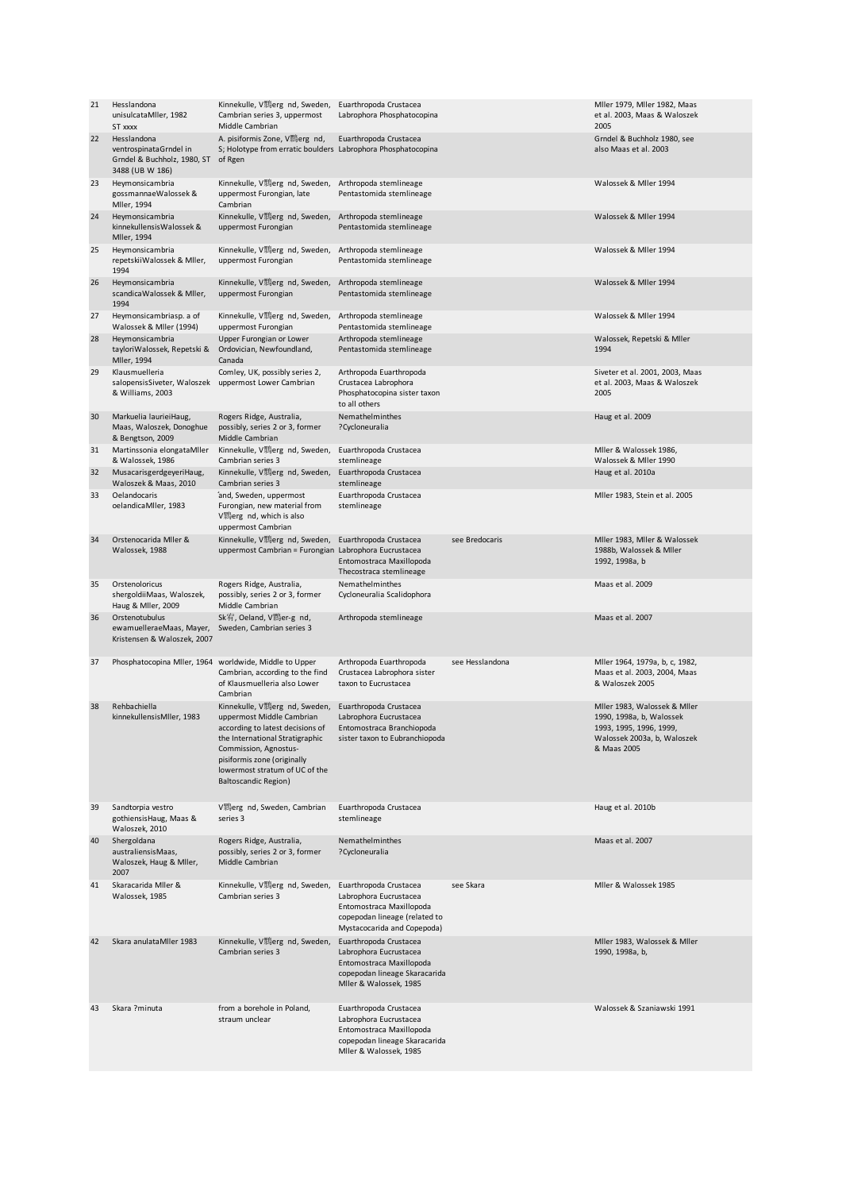| 21       | Hesslandona<br>unisulcataMller, 1982<br>ST xxxx                                         | Kinnekulle, V顆erg nd, Sweden,<br>Cambrian series 3, uppermost<br>Middle Cambrian                                                                                                                                                                           | Euarthropoda Crustacea<br>Labrophora Phosphatocopina                                                                                         |                 | Mller 1979, Mller 1982, Maas<br>et al. 2003, Maas & Waloszek<br>2005                                                              |
|----------|-----------------------------------------------------------------------------------------|------------------------------------------------------------------------------------------------------------------------------------------------------------------------------------------------------------------------------------------------------------|----------------------------------------------------------------------------------------------------------------------------------------------|-----------------|-----------------------------------------------------------------------------------------------------------------------------------|
| 22       | Hesslandona<br>ventrospinataGrndel in<br>Grndel & Buchholz, 1980, ST<br>3488 (UB W 186) | A. pisiformis Zone, V顆erg nd,<br>S; Holotype from erratic boulders Labrophora Phosphatocopina<br>of Rgen                                                                                                                                                   | Euarthropoda Crustacea                                                                                                                       |                 | Grndel & Buchholz 1980, see<br>also Maas et al. 2003                                                                              |
| 23       | Heymonsicambria<br>gossmannaeWalossek &<br>Mller, 1994                                  | Kinnekulle, V鶆erg nd, Sweden,<br>uppermost Furongian, late<br>Cambrian                                                                                                                                                                                     | Arthropoda stemlineage<br>Pentastomida stemlineage                                                                                           |                 | Walossek & Mller 1994                                                                                                             |
| 24       | Heymonsicambria<br>kinnekullensisWalossek &<br>Mller, 1994                              | Kinnekulle, V顆erg nd, Sweden,<br>uppermost Furongian                                                                                                                                                                                                       | Arthropoda stemlineage<br>Pentastomida stemlineage                                                                                           |                 | Walossek & Miler 1994                                                                                                             |
| 25       | Heymonsicambria<br>repetskiiWalossek & Mller,<br>1994                                   | Kinnekulle, V顆erg nd, Sweden,<br>uppermost Furongian                                                                                                                                                                                                       | Arthropoda stemlineage<br>Pentastomida stemlineage                                                                                           |                 | Walossek & Miler 1994                                                                                                             |
| 26       | Heymonsicambria<br>scandicaWalossek & Mller,<br>1994                                    | Kinnekulle, V鹅erg nd, Sweden,<br>uppermost Furongian                                                                                                                                                                                                       | Arthropoda stemlineage<br>Pentastomida stemlineage                                                                                           |                 | Walossek & Miler 1994                                                                                                             |
| 27       | Heymonsicambriasp. a of<br>Walossek & Mller (1994)                                      | Kinnekulle, V顆erg nd, Sweden,<br>uppermost Furongian                                                                                                                                                                                                       | Arthropoda stemlineage<br>Pentastomida stemlineage                                                                                           |                 | Walossek & Miler 1994                                                                                                             |
| 28       | Heymonsicambria<br>tayloriWalossek, Repetski &<br>Mller, 1994                           | Upper Furongian or Lower<br>Ordovician, Newfoundland,<br>Canada                                                                                                                                                                                            | Arthropoda stemlineage<br>Pentastomida stemlineage                                                                                           |                 | Walossek, Repetski & Mller<br>1994                                                                                                |
| 29       | Klausmuelleria<br>salopensisSiveter, Waloszek<br>& Williams, 2003                       | Comley, UK, possibly series 2,<br>uppermost Lower Cambrian                                                                                                                                                                                                 | Arthropoda Euarthropoda<br>Crustacea Labrophora<br>Phosphatocopina sister taxon<br>to all others                                             |                 | Siveter et al. 2001, 2003, Maas<br>et al. 2003, Maas & Waloszek<br>2005                                                           |
| 30       | Markuelia laurieiHaug,<br>Maas, Waloszek, Donoghue<br>& Bengtson, 2009                  | Rogers Ridge, Australia,<br>possibly, series 2 or 3, former<br>Middle Cambrian                                                                                                                                                                             | Nemathelminthes<br>?Cycloneuralia                                                                                                            |                 | Haug et al. 2009                                                                                                                  |
| 31<br>32 | Martinssonia elongataMller<br>& Walossek, 1986<br>MusacarisgerdgeyeriHaug,              | Kinnekulle, V顆erg nd, Sweden,<br>Cambrian series 3<br>Kinnekulle, V鶆erg nd, Sweden,                                                                                                                                                                        | Euarthropoda Crustacea<br>stemlineage<br>Euarthropoda Crustacea                                                                              |                 | Mller & Walossek 1986,<br>Walossek & Miler 1990<br>Haug et al. 2010a                                                              |
|          | Waloszek & Maas, 2010                                                                   | Cambrian series 3                                                                                                                                                                                                                                          | stemlineage                                                                                                                                  |                 |                                                                                                                                   |
| 33       | Oelandocaris<br>oelandicaMller, 1983                                                    | and, Sweden, uppermost<br>Furongian, new material from<br>V顆erg nd, which is also<br>uppermost Cambrian                                                                                                                                                    | Euarthropoda Crustacea<br>stemlineage                                                                                                        |                 | Mller 1983, Stein et al. 2005                                                                                                     |
| 34       | Orstenocarida Mller &<br>Walossek, 1988                                                 | Kinnekulle, V顆erg nd, Sweden,<br>uppermost Cambrian = Furongian                                                                                                                                                                                            | Euarthropoda Crustacea<br>Labrophora Eucrustacea<br>Entomostraca Maxillopoda<br>Thecostraca stemlineage                                      | see Bredocaris  | Mller 1983, Mller & Walossek<br>1988b, Walossek & Miler<br>1992, 1998a, b                                                         |
| 35       | Orstenoloricus<br>shergoldiiMaas, Waloszek,<br>Haug & Mller, 2009                       | Rogers Ridge, Australia,<br>possibly, series 2 or 3, former<br>Middle Cambrian                                                                                                                                                                             | Nemathelminthes<br>Cycloneuralia Scalidophora                                                                                                |                 | Maas et al. 2009                                                                                                                  |
| 36       | Orstenotubulus<br>ewamuelleraeMaas, Mayer,<br>Kristensen & Waloszek, 2007               | Sk宥, Oeland, V顆er-g nd,<br>Sweden, Cambrian series 3                                                                                                                                                                                                       | Arthropoda stemlineage                                                                                                                       |                 | Maas et al. 2007                                                                                                                  |
| 37       | Phosphatocopina Mller, 1964 worldwide, Middle to Upper                                  | Cambrian, according to the find<br>of Klausmuelleria also Lower<br>Cambrian                                                                                                                                                                                | Arthropoda Euarthropoda<br>Crustacea Labrophora sister<br>taxon to Eucrustacea                                                               | see Hesslandona | Mller 1964, 1979a, b, c, 1982,<br>Maas et al. 2003, 2004, Maas<br>& Waloszek 2005                                                 |
| 38       | Rehbachiella<br>kinnekullensisMller, 1983                                               | Kinnekulle, V顆erg nd, Sweden,<br>uppermost Middle Cambrian<br>according to latest decisions of<br>the International Stratigraphic<br>Commission, Agnostus-<br>pisiformis zone (originally<br>lowermost stratum of UC of the<br><b>Baltoscandic Region)</b> | Euarthropoda Crustacea<br>Labrophora Eucrustacea<br>Entomostraca Branchiopoda<br>sister taxon to Eubranchiopoda                              |                 | Mller 1983, Walossek & Mller<br>1990, 1998a, b, Walossek<br>1993, 1995, 1996, 1999,<br>Walossek 2003a, b, Waloszek<br>& Maas 2005 |
| 39       | Sandtorpia vestro<br>gothiensisHaug, Maas &<br>Waloszek, 2010                           | V鹅erg nd, Sweden, Cambrian<br>series 3                                                                                                                                                                                                                     | Euarthropoda Crustacea<br>stemlineage                                                                                                        |                 | Haug et al. 2010b                                                                                                                 |
| 40       | Shergoldana<br>australiensisMaas,<br>Waloszek, Haug & Mller,<br>2007                    | Rogers Ridge, Australia,<br>possibly, series 2 or 3, former<br>Middle Cambrian                                                                                                                                                                             | Nemathelminthes<br>?Cycloneuralia                                                                                                            |                 | Maas et al. 2007                                                                                                                  |
| 41       | Skaracarida Mller &<br>Walossek, 1985                                                   | Kinnekulle, V鶆erg nd, Sweden,<br>Cambrian series 3                                                                                                                                                                                                         | Euarthropoda Crustacea<br>Labrophora Eucrustacea<br>Entomostraca Maxillopoda<br>copepodan lineage (related to<br>Mystacocarida and Copepoda) | see Skara       | Mller & Walossek 1985                                                                                                             |
| 42       | Skara anulataMller 1983                                                                 | Kinnekulle, V鶆erg nd, Sweden,<br>Cambrian series 3                                                                                                                                                                                                         | Euarthropoda Crustacea<br>Labrophora Eucrustacea<br>Entomostraca Maxillopoda<br>copepodan lineage Skaracarida<br>Mller & Walossek, 1985      |                 | Mller 1983, Walossek & Mller<br>1990, 1998a, b,                                                                                   |
| 43       | Skara ?minuta                                                                           | from a borehole in Poland,<br>straum unclear                                                                                                                                                                                                               | Euarthropoda Crustacea<br>Labrophora Eucrustacea<br>Entomostraca Maxillopoda<br>copepodan lineage Skaracarida<br>Mller & Walossek, 1985      |                 | Walossek & Szaniawski 1991                                                                                                        |